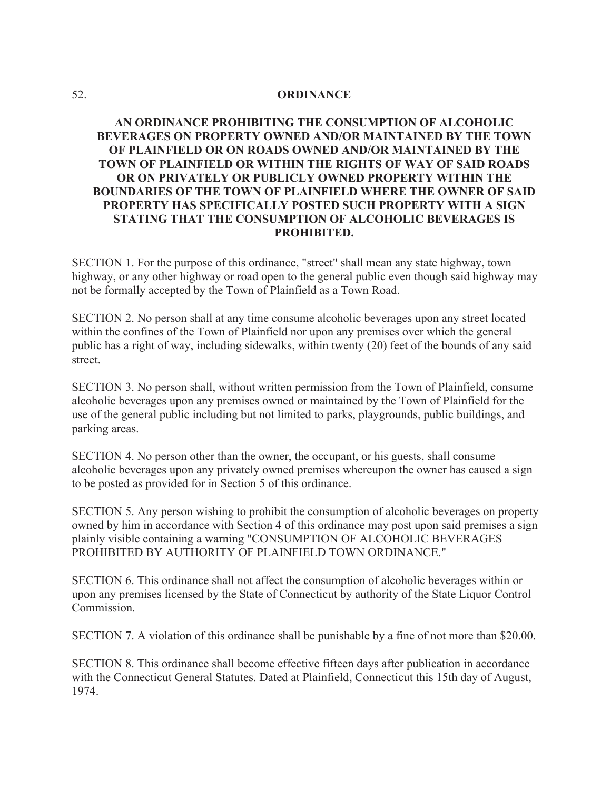## 52. **ORDINANCE**

## **AN ORDINANCE PROHIBITING THE CONSUMPTION OF ALCOHOLIC BEVERAGES ON PROPERTY OWNED AND/OR MAINTAINED BY THE TOWN OF PLAINFIELD OR ON ROADS OWNED AND/OR MAINTAINED BY THE TOWN OF PLAINFIELD OR WITHIN THE RIGHTS OF WAY OF SAID ROADS OR ON PRIVATELY OR PUBLICLY OWNED PROPERTY WITHIN THE BOUNDARIES OF THE TOWN OF PLAINFIELD WHERE THE OWNER OF SAID PROPERTY HAS SPECIFICALLY POSTED SUCH PROPERTY WITH A SIGN STATING THAT THE CONSUMPTION OF ALCOHOLIC BEVERAGES IS PROHIBITED.**

SECTION 1. For the purpose of this ordinance, "street" shall mean any state highway, town highway, or any other highway or road open to the general public even though said highway may not be formally accepted by the Town of Plainfield as a Town Road.

SECTION 2. No person shall at any time consume alcoholic beverages upon any street located within the confines of the Town of Plainfield nor upon any premises over which the general public has a right of way, including sidewalks, within twenty (20) feet of the bounds of any said street.

SECTION 3. No person shall, without written permission from the Town of Plainfield, consume alcoholic beverages upon any premises owned or maintained by the Town of Plainfield for the use of the general public including but not limited to parks, playgrounds, public buildings, and parking areas.

SECTION 4. No person other than the owner, the occupant, or his guests, shall consume alcoholic beverages upon any privately owned premises whereupon the owner has caused a sign to be posted as provided for in Section 5 of this ordinance.

SECTION 5. Any person wishing to prohibit the consumption of alcoholic beverages on property owned by him in accordance with Section 4 of this ordinance may post upon said premises a sign plainly visible containing a warning "CONSUMPTION OF ALCOHOLIC BEVERAGES PROHIBITED BY AUTHORITY OF PLAINFIELD TOWN ORDINANCE."

SECTION 6. This ordinance shall not affect the consumption of alcoholic beverages within or upon any premises licensed by the State of Connecticut by authority of the State Liquor Control Commission.

SECTION 7. A violation of this ordinance shall be punishable by a fine of not more than \$20.00.

SECTION 8. This ordinance shall become effective fifteen days after publication in accordance with the Connecticut General Statutes. Dated at Plainfield, Connecticut this 15th day of August, 1974.